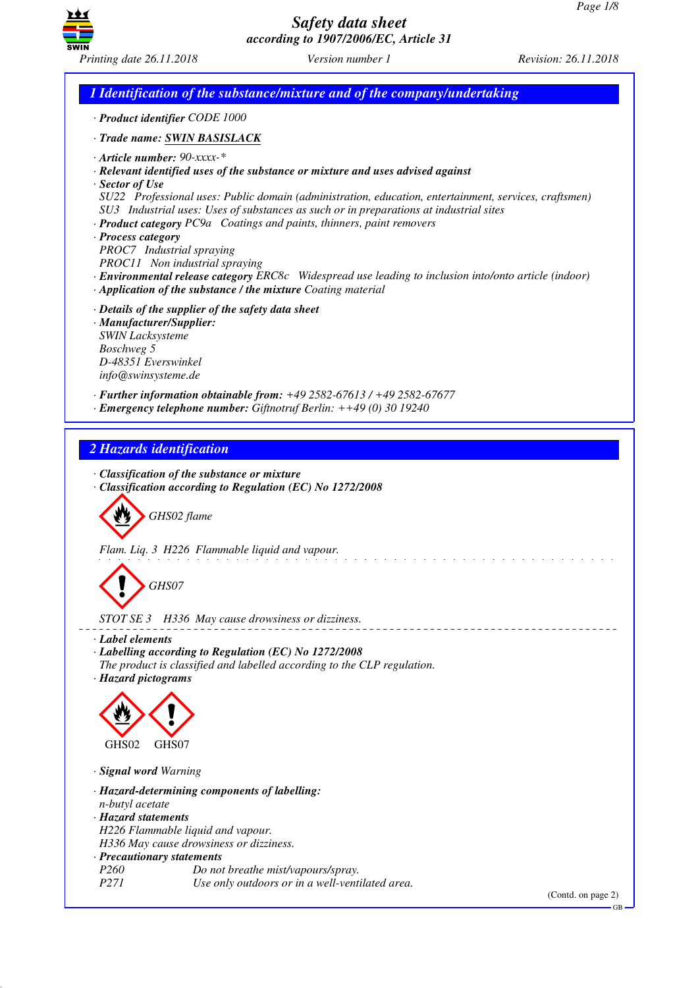GB



# *Safety data sheet according to 1907/2006/EC, Article 31*

*Printing date 26.11.2018 Version number 1 Revision: 26.11.2018*

*1 Identification of the substance/mixture and of the company/undertaking · Product identifier CODE 1000 · Trade name: SWIN BASISLACK · Article number: 90-xxxx-\* · Relevant identified uses of the substance or mixture and uses advised against · Sector of Use SU22 Professional uses: Public domain (administration, education, entertainment, services, craftsmen) SU3 Industrial uses: Uses of substances as such or in preparations at industrial sites · Product category PC9a Coatings and paints, thinners, paint removers · Process category PROC7 Industrial spraying PROC11 Non industrial spraying · Environmental release category ERC8c Widespread use leading to inclusion into/onto article (indoor) · Application of the substance / the mixture Coating material · Details of the supplier of the safety data sheet · Manufacturer/Supplier: SWIN Lacksysteme Boschweg 5 D-48351 Everswinkel info@swinsysteme.de · Further information obtainable from: +49 2582-67613 / +49 2582-67677 · Emergency telephone number: Giftnotruf Berlin: ++49 (0) 30 19240 2 Hazards identification · Classification of the substance or mixture · Classification according to Regulation (EC) No 1272/2008* d~*GHS02 flame Flam. Liq. 3 H226 Flammable liquid and vapour.* d~*GHS07 STOT SE 3 H336 May cause drowsiness or dizziness. · Label elements · Labelling according to Regulation (EC) No 1272/2008 The product is classified and labelled according to the CLP regulation. · Hazard pictograms* < GHS02  $\langle \cdot \rangle$ GHS<sub>07</sub> *· Signal word Warning · Hazard-determining components of labelling: n-butyl acetate · Hazard statements H226 Flammable liquid and vapour. H336 May cause drowsiness or dizziness. · Precautionary statements Po not breathe mist/vapours/spray. P271 Use only outdoors or in a well-ventilated area.* (Contd. on page 2)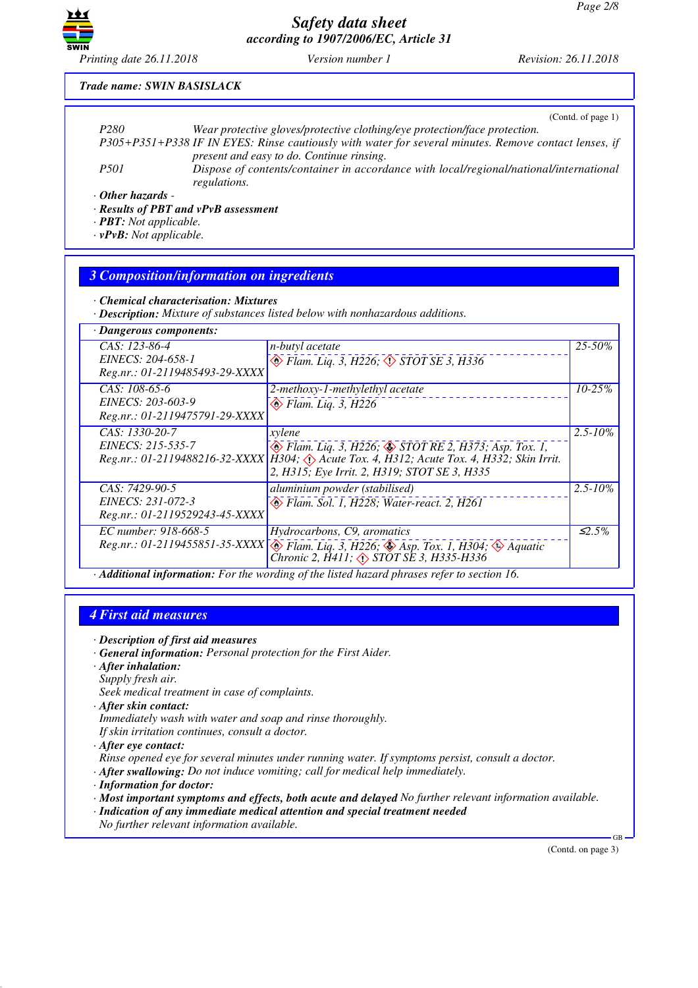

*Printing date 26.11.2018 Version number 1 Revision: 26.11.2018*

#### *Trade name: SWIN BASISLACK*

|                                    | (Contd. of page 1)                                                                                     |
|------------------------------------|--------------------------------------------------------------------------------------------------------|
| P <sub>280</sub>                   | Wear protective gloves/protective clothing/eye protection/face protection.                             |
|                                    | P305+P351+P338 IF IN EYES: Rinse cautiously with water for several minutes. Remove contact lenses, if  |
|                                    | present and easy to do. Continue rinsing.                                                              |
| <i>P501</i>                        | Dispose of contents/container in accordance with local/regional/national/international<br>regulations. |
| $\cdot$ Other hazards -<br>_ _ _ _ |                                                                                                        |

*· Results of PBT and vPvB assessment*

*· PBT: Not applicable.*

*· vPvB: Not applicable.*

#### *3 Composition/information on ingredients*

*· Chemical characterisation: Mixtures*

*· Description: Mixture of substances listed below with nonhazardous additions.*

| · Dangerous components:                                               |                                                                                                                                                                                                                             |              |
|-----------------------------------------------------------------------|-----------------------------------------------------------------------------------------------------------------------------------------------------------------------------------------------------------------------------|--------------|
| CAS: 123-86-4<br>EINECS: 204-658-1<br>Reg.nr.: 01-2119485493-29-XXXX  | n-butyl acetate<br>$\otimes$ Flam. Liq. 3, H226, $\otimes$ STOT SE 3, H336                                                                                                                                                  | $25 - 50\%$  |
| CAS: 108-65-6<br>EINECS: 203-603-9<br>Reg.nr.: 01-2119475791-29-XXXX  | 2-methoxy-1-methylethyl acetate<br>$\diamondsuit$ Flam. Liq. 3, H226                                                                                                                                                        | $10 - 25%$   |
| CAS: 1330-20-7<br>EINECS: 215-535-7                                   | xylene<br>$\otimes$ Flam. Liq. 3, H226; $\otimes$ STOT RE 2, H373; Asp. Tox. 1,<br>Reg.nr.: 01-2119488216-32-XXXX H304; Acute Tox. 4, H312; Acute Tox. 4, H332; Skin Irrit.<br>2, H315; Eye Irrit. 2, H319; STOT SE 3, H335 | $2.5 - 10\%$ |
| CAS: 7429-90-5<br>EINECS: 231-072-3<br>Reg.nr.: 01-2119529243-45-XXXX | aluminium powder (stabilised)<br>Flam. Sol. 1, H228; Water-react. 2, H261                                                                                                                                                   | $2.5 - 10\%$ |
| EC number: 918-668-5                                                  | Hydrocarbons, C9, aromatics<br>Reg.nr.: 01-2119455851-35-XXXX & Flam. Liq. 3, H226; Asp. Tox. 1, H304; Aquatic<br>Chronic 2, $\overline{H}411$ ; $\Diamond$ STOT SE 3, H335-H336                                            | $\leq 2.5\%$ |
|                                                                       | A I Peter of the Computer Long the wording of the lighted becaud physics usfor to continue I6                                                                                                                               |              |

*· Additional information: For the wording of the listed hazard phrases refer to section 16.*

#### *4 First aid measures*

- *· Description of first aid measures*
- *· General information: Personal protection for the First Aider.*
- *· After inhalation:*
- *Supply fresh air.*

*Seek medical treatment in case of complaints.*

- *· After skin contact:*
- *Immediately wash with water and soap and rinse thoroughly.*

*If skin irritation continues, consult a doctor.*

- *· After eye contact:*
- *Rinse opened eye for several minutes under running water. If symptoms persist, consult a doctor.*
- *· After swallowing: Do not induce vomiting; call for medical help immediately.*
- *· Information for doctor:*
- *· Most important symptoms and effects, both acute and delayed No further relevant information available.*
- *· Indication of any immediate medical attention and special treatment needed*
- *No further relevant information available.*

(Contd. on page 3)

GB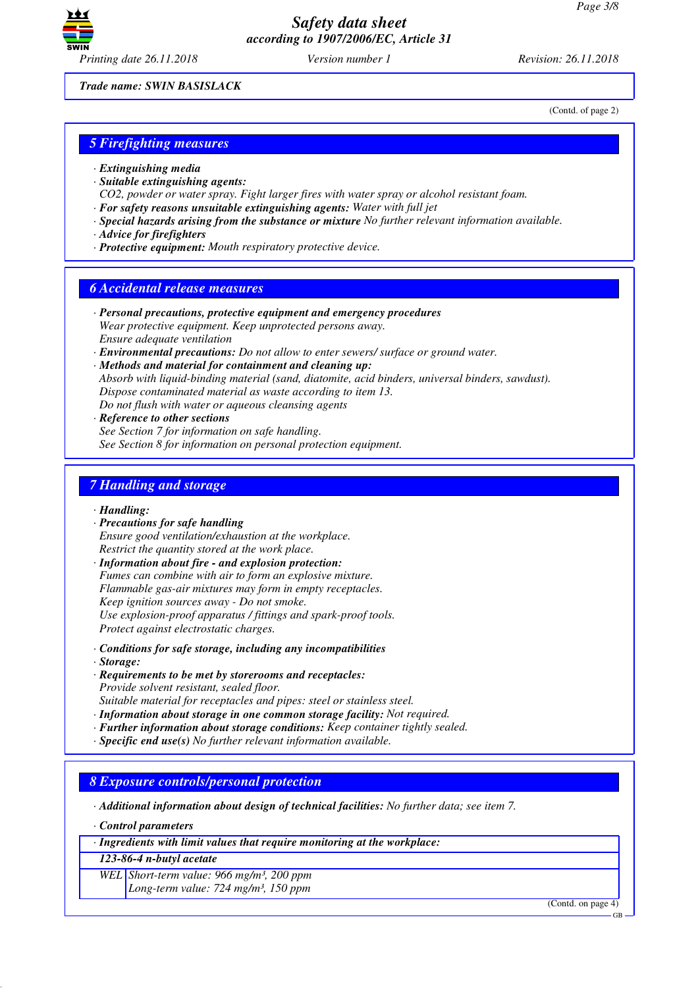

(Contd. of page 2)

*Trade name: SWIN BASISLACK*

*5 Firefighting measures*

- *· Extinguishing media*
- *· Suitable extinguishing agents:*
- *CO2, powder or water spray. Fight larger fires with water spray or alcohol resistant foam.*
- *· For safety reasons unsuitable extinguishing agents: Water with full jet*
- *· Special hazards arising from the substance or mixture No further relevant information available.*
- *· Advice for firefighters*
- *· Protective equipment: Mouth respiratory protective device.*

### *6 Accidental release measures*

- *· Personal precautions, protective equipment and emergency procedures Wear protective equipment. Keep unprotected persons away. Ensure adequate ventilation*
- *· Environmental precautions: Do not allow to enter sewers/ surface or ground water.*
- *· Methods and material for containment and cleaning up: Absorb with liquid-binding material (sand, diatomite, acid binders, universal binders, sawdust). Dispose contaminated material as waste according to item 13. Do not flush with water or aqueous cleansing agents*
- *· Reference to other sections See Section 7 for information on safe handling. See Section 8 for information on personal protection equipment.*

### *7 Handling and storage*

*· Handling:*

- *· Precautions for safe handling Ensure good ventilation/exhaustion at the workplace. Restrict the quantity stored at the work place.*
- *· Information about fire and explosion protection: Fumes can combine with air to form an explosive mixture. Flammable gas-air mixtures may form in empty receptacles. Keep ignition sources away - Do not smoke. Use explosion-proof apparatus / fittings and spark-proof tools. Protect against electrostatic charges.*
- *· Conditions for safe storage, including any incompatibilities*
- *· Storage:*
- *· Requirements to be met by storerooms and receptacles: Provide solvent resistant, sealed floor.*
- *Suitable material for receptacles and pipes: steel or stainless steel.*
- *· Information about storage in one common storage facility: Not required.*
- *· Further information about storage conditions: Keep container tightly sealed.*
- *· Specific end use(s) No further relevant information available.*

#### *8 Exposure controls/personal protection*

*· Additional information about design of technical facilities: No further data; see item 7.*

*· Control parameters*

*· Ingredients with limit values that require monitoring at the workplace:*

*123-86-4 n-butyl acetate*

*WEL Short-term value: 966 mg/m³, 200 ppm*

*Long-term value: 724 mg/m³, 150 ppm*

(Contd. on page 4)

GB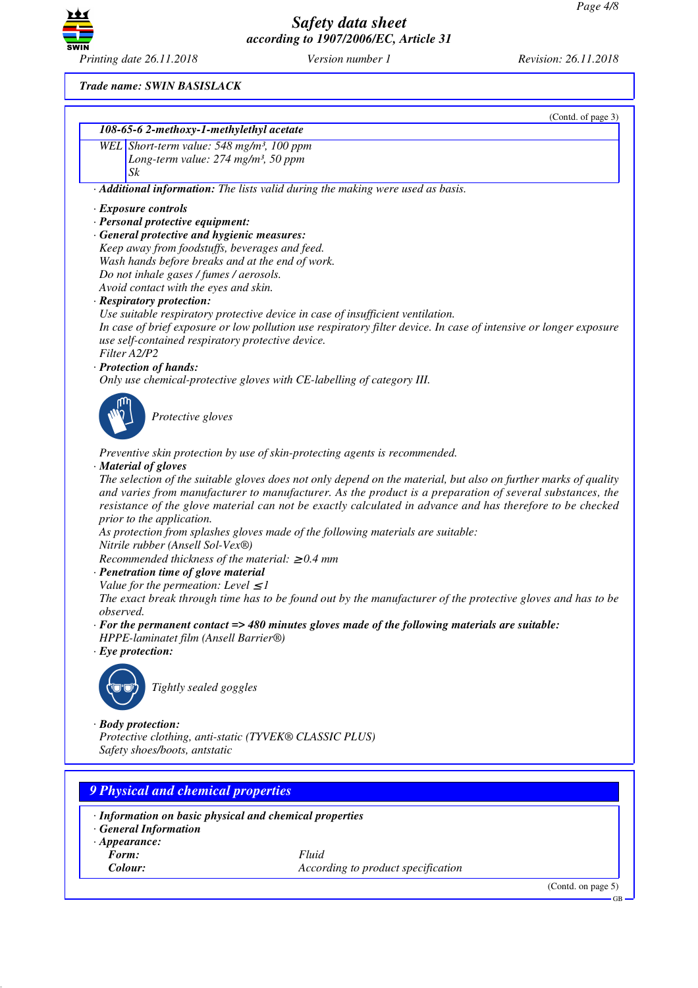

*Printing date 26.11.2018 Version number 1 Revision: 26.11.2018*

(Contd. of page 3)

*Trade name: SWIN BASISLACK*

| 108-65-6 2-methoxy-1-methylethyl acetate                                                                                               |                                                                                                                   |  |  |
|----------------------------------------------------------------------------------------------------------------------------------------|-------------------------------------------------------------------------------------------------------------------|--|--|
| WEL Short-term value: 548 mg/m <sup>3</sup> , 100 ppm                                                                                  |                                                                                                                   |  |  |
| Long-term value: 274 mg/m <sup>3</sup> , 50 ppm                                                                                        |                                                                                                                   |  |  |
| Sk                                                                                                                                     |                                                                                                                   |  |  |
|                                                                                                                                        | · Additional information: The lists valid during the making were used as basis.                                   |  |  |
| $\cdot$ Exposure controls                                                                                                              |                                                                                                                   |  |  |
| · Personal protective equipment:                                                                                                       |                                                                                                                   |  |  |
| · General protective and hygienic measures:                                                                                            |                                                                                                                   |  |  |
| Keep away from foodstuffs, beverages and feed.                                                                                         |                                                                                                                   |  |  |
| Wash hands before breaks and at the end of work.                                                                                       |                                                                                                                   |  |  |
| Do not inhale gases / fumes / aerosols.<br>Avoid contact with the eyes and skin.                                                       |                                                                                                                   |  |  |
| · Respiratory protection:                                                                                                              |                                                                                                                   |  |  |
|                                                                                                                                        | Use suitable respiratory protective device in case of insufficient ventilation.                                   |  |  |
| use self-contained respiratory protective device.                                                                                      | In case of brief exposure or low pollution use respiratory filter device. In case of intensive or longer exposure |  |  |
| Filter A2/P2                                                                                                                           |                                                                                                                   |  |  |
| · Protection of hands:                                                                                                                 |                                                                                                                   |  |  |
|                                                                                                                                        | Only use chemical-protective gloves with CE-labelling of category III.                                            |  |  |
|                                                                                                                                        |                                                                                                                   |  |  |
| Protective gloves                                                                                                                      |                                                                                                                   |  |  |
|                                                                                                                                        |                                                                                                                   |  |  |
| · Material of gloves                                                                                                                   | Preventive skin protection by use of skin-protecting agents is recommended.                                       |  |  |
|                                                                                                                                        | The selection of the suitable gloves does not only depend on the material, but also on further marks of quality   |  |  |
|                                                                                                                                        | and varies from manufacturer to manufacturer. As the product is a preparation of several substances, the          |  |  |
| resistance of the glove material can not be exactly calculated in advance and has therefore to be checked<br>prior to the application. |                                                                                                                   |  |  |
| Nitrile rubber (Ansell Sol-Vex®)                                                                                                       | As protection from splashes gloves made of the following materials are suitable:                                  |  |  |
| Recommended thickness of the material: $\geq 0.4$ mm                                                                                   |                                                                                                                   |  |  |
| · Penetration time of glove material                                                                                                   |                                                                                                                   |  |  |
| Value for the permeation: Level $\leq$ 1                                                                                               |                                                                                                                   |  |  |
|                                                                                                                                        | The exact break through time has to be found out by the manufacturer of the protective gloves and has to be       |  |  |
| observed.                                                                                                                              | $\cdot$ For the permanent contact => 480 minutes gloves made of the following materials are suitable:             |  |  |
| HPPE-laminatet film (Ansell Barrier®)                                                                                                  |                                                                                                                   |  |  |
| $\cdot$ Eye protection:                                                                                                                |                                                                                                                   |  |  |
|                                                                                                                                        |                                                                                                                   |  |  |
| Tightly sealed goggles                                                                                                                 |                                                                                                                   |  |  |
|                                                                                                                                        |                                                                                                                   |  |  |
| $\cdot$ Body protection:                                                                                                               |                                                                                                                   |  |  |
| Protective clothing, anti-static (TYVEK® CLASSIC PLUS)                                                                                 |                                                                                                                   |  |  |
| Safety shoes/boots, antstatic                                                                                                          |                                                                                                                   |  |  |
|                                                                                                                                        |                                                                                                                   |  |  |
| <b>9 Physical and chemical properties</b>                                                                                              |                                                                                                                   |  |  |
|                                                                                                                                        |                                                                                                                   |  |  |
|                                                                                                                                        |                                                                                                                   |  |  |
| · Information on basic physical and chemical properties<br>· General Information                                                       |                                                                                                                   |  |  |
| $\cdot$ Appearance:                                                                                                                    |                                                                                                                   |  |  |
| Form:                                                                                                                                  | Fluid                                                                                                             |  |  |
| Colour:                                                                                                                                | According to product specification                                                                                |  |  |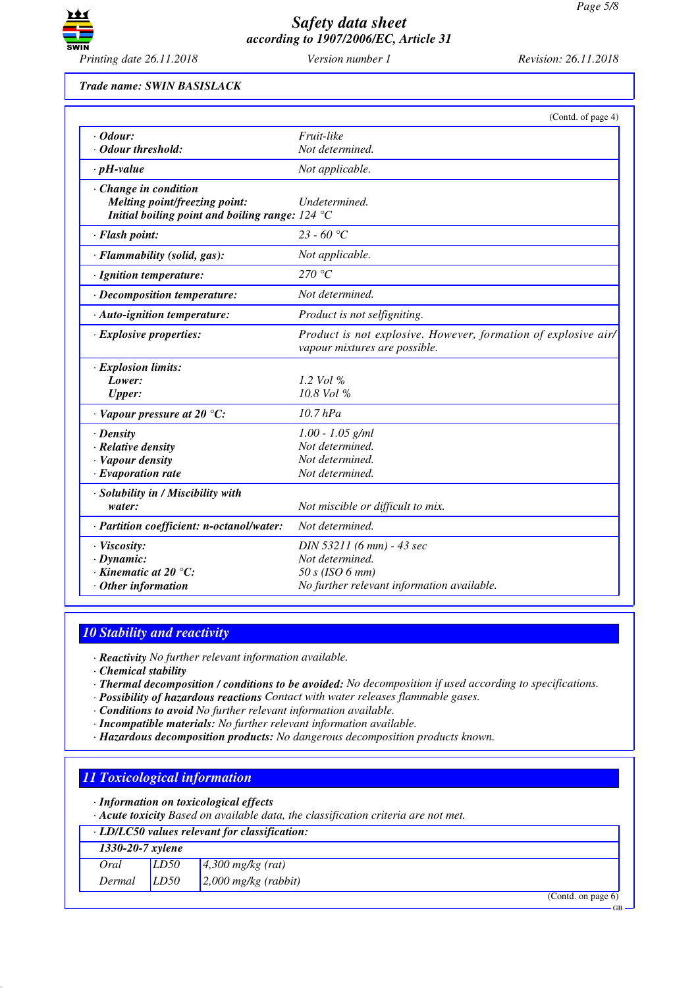

*Trade name: SWIN BASISLACK*

|                                                   | (Contd. of page 4)                                                                              |
|---------------------------------------------------|-------------------------------------------------------------------------------------------------|
| $\cdot$ Odour:                                    | Fruit-like                                                                                      |
| · Odour threshold:                                | Not determined.                                                                                 |
| $\cdot$ pH-value                                  | Not applicable.                                                                                 |
| · Change in condition                             |                                                                                                 |
| <b>Melting point/freezing point:</b>              | Undetermined.                                                                                   |
| Initial boiling point and boiling range: $124 °C$ |                                                                                                 |
| · Flash point:                                    | 23 - 60 °C                                                                                      |
| · Flammability (solid, gas):                      | Not applicable.                                                                                 |
| · Ignition temperature:                           | 270 °C                                                                                          |
| · Decomposition temperature:                      | Not determined.                                                                                 |
| $\cdot$ Auto-ignition temperature:                | Product is not selfigniting.                                                                    |
| $\cdot$ Explosive properties:                     | Product is not explosive. However, formation of explosive air/<br>vapour mixtures are possible. |
| · Explosion limits:                               |                                                                                                 |
| Lower:                                            | 1.2 Vol $\%$                                                                                    |
| <b>Upper:</b>                                     | 10.8 Vol %                                                                                      |
| $\cdot$ Vapour pressure at 20 $\degree$ C:        | $10.7$ hPa                                                                                      |
| $\cdot$ Density                                   | $1.00 - 1.05$ g/ml                                                                              |
| $\cdot$ Relative density                          | Not determined.                                                                                 |
| · Vapour density                                  | Not determined.                                                                                 |
| $\cdot$ Evaporation rate                          | Not determined.                                                                                 |
| · Solubility in / Miscibility with                |                                                                                                 |
| water:                                            | Not miscible or difficult to mix.                                                               |
| · Partition coefficient: n-octanol/water:         | Not determined.                                                                                 |
| · Viscosity:                                      | DIN 53211 (6 mm) - 43 sec                                                                       |
| $\cdot$ Dynamic:                                  | Not determined.                                                                                 |
| $\cdot$ Kinematic at 20 $\degree$ C:              | 50 s (ISO 6 mm)                                                                                 |
| $·$ Other information                             | No further relevant information available.                                                      |

# *10 Stability and reactivity*

*· Reactivity No further relevant information available.*

*· Chemical stability*

- *· Thermal decomposition / conditions to be avoided: No decomposition if used according to specifications.*
- *· Possibility of hazardous reactions Contact with water releases flammable gases.*
- *· Conditions to avoid No further relevant information available.*
- *· Incompatible materials: No further relevant information available.*
- *· Hazardous decomposition products: No dangerous decomposition products known.*

# *11 Toxicological information*

- *· Information on toxicological effects*
- *· Acute toxicity Based on available data, the classification criteria are not met.*

# *· LD/LC50 values relevant for classification:*

| $1330 - 20 - 7$ xylene |      |                                    |
|------------------------|------|------------------------------------|
| Oral                   | LD50 | $4,300$ mg/kg (rat)                |
| Dermal                 | LD50 | $\vert 2,000 \vert mg/kg$ (rabbit) |
|                        |      | (Contd. on page $6$ )              |

GB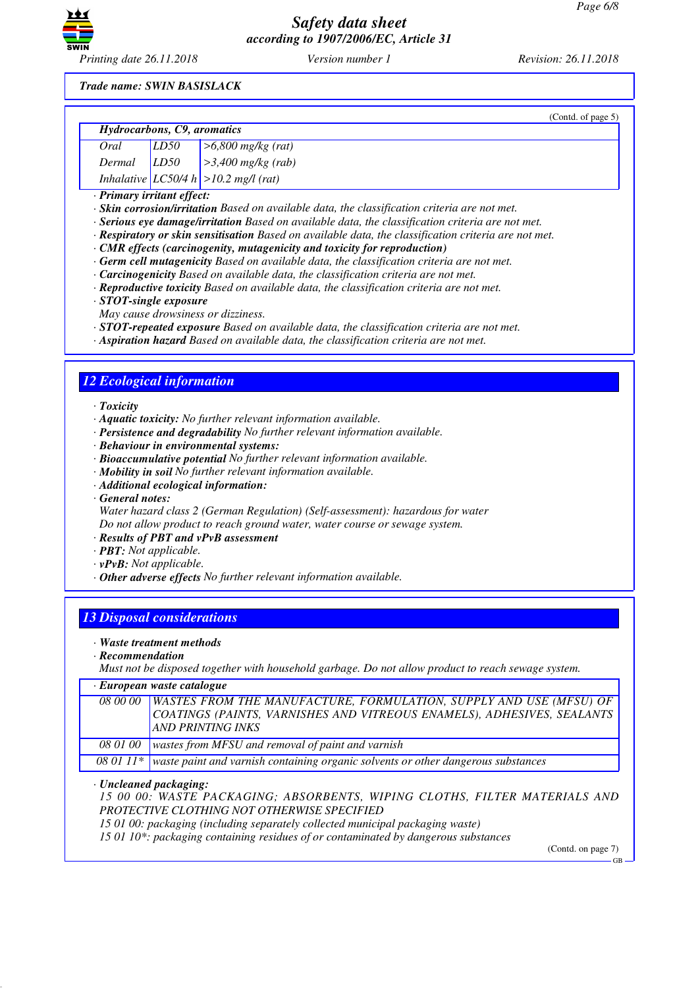

*Printing date 26.11.2018 Version number 1 Revision: 26.11.2018*

*Trade name: SWIN BASISLACK*

|                             |  |                                           | (Contd. of page $5$ ) |
|-----------------------------|--|-------------------------------------------|-----------------------|
| Hydrocarbons, C9, aromatics |  |                                           |                       |
| Oral                        |  | [ <i>LD50</i>   $>6,800$ mg/kg (rat)      |                       |
|                             |  | Dermal $LD50$ $>3,400$ mg/kg (rab)        |                       |
|                             |  | Inhalative $ LC50/4 h  > 10.2$ mg/l (rat) |                       |

*· Primary irritant effect:*

- *· Skin corrosion/irritation Based on available data, the classification criteria are not met.*
- *· Serious eye damage/irritation Based on available data, the classification criteria are not met.*
- *· Respiratory or skin sensitisation Based on available data, the classification criteria are not met.*
- *· CMR effects (carcinogenity, mutagenicity and toxicity for reproduction)*
- *· Germ cell mutagenicity Based on available data, the classification criteria are not met.*
- *· Carcinogenicity Based on available data, the classification criteria are not met.*
- *· Reproductive toxicity Based on available data, the classification criteria are not met.*
- *· STOT-single exposure*
- *May cause drowsiness or dizziness.*
- *· STOT-repeated exposure Based on available data, the classification criteria are not met.*
- *· Aspiration hazard Based on available data, the classification criteria are not met.*

# *12 Ecological information*

*· Toxicity*

- *· Aquatic toxicity: No further relevant information available.*
- *· Persistence and degradability No further relevant information available.*
- *· Behaviour in environmental systems:*
- *· Bioaccumulative potential No further relevant information available.*
- *· Mobility in soil No further relevant information available.*
- *· Additional ecological information:*
- *· General notes:*

*Water hazard class 2 (German Regulation) (Self-assessment): hazardous for water Do not allow product to reach ground water, water course or sewage system.*

- *· Results of PBT and vPvB assessment*
- *· PBT: Not applicable.*
- *· vPvB: Not applicable.*
- *· Other adverse effects No further relevant information available.*

# *13 Disposal considerations*

- *· Waste treatment methods*
- *· Recommendation*

*Must not be disposed together with household garbage. Do not allow product to reach sewage system.*

| $\cdot$ European waste catalogue |                                                                                             |  |  |
|----------------------------------|---------------------------------------------------------------------------------------------|--|--|
|                                  | 08 00 00   WASTES FROM THE MANUFACTURE, FORMULATION, SUPPLY AND USE (MFSU) OF               |  |  |
|                                  | COATINGS (PAINTS, VARNISHES AND VITREOUS ENAMELS), ADHESIVES, SEALANTS                      |  |  |
|                                  | <b>AND PRINTING INKS</b>                                                                    |  |  |
| 08 01 00                         | wastes from MFSU and removal of paint and varnish                                           |  |  |
|                                  | 08 01 11* waste paint and varnish containing organic solvents or other dangerous substances |  |  |

#### *· Uncleaned packaging:*

*15 00 00: WASTE PACKAGING; ABSORBENTS, WIPING CLOTHS, FILTER MATERIALS AND PROTECTIVE CLOTHING NOT OTHERWISE SPECIFIED*

*15 01 00: packaging (including separately collected municipal packaging waste)*

*15 01 10\*: packaging containing residues of or contaminated by dangerous substances*

(Contd. on page 7)

GB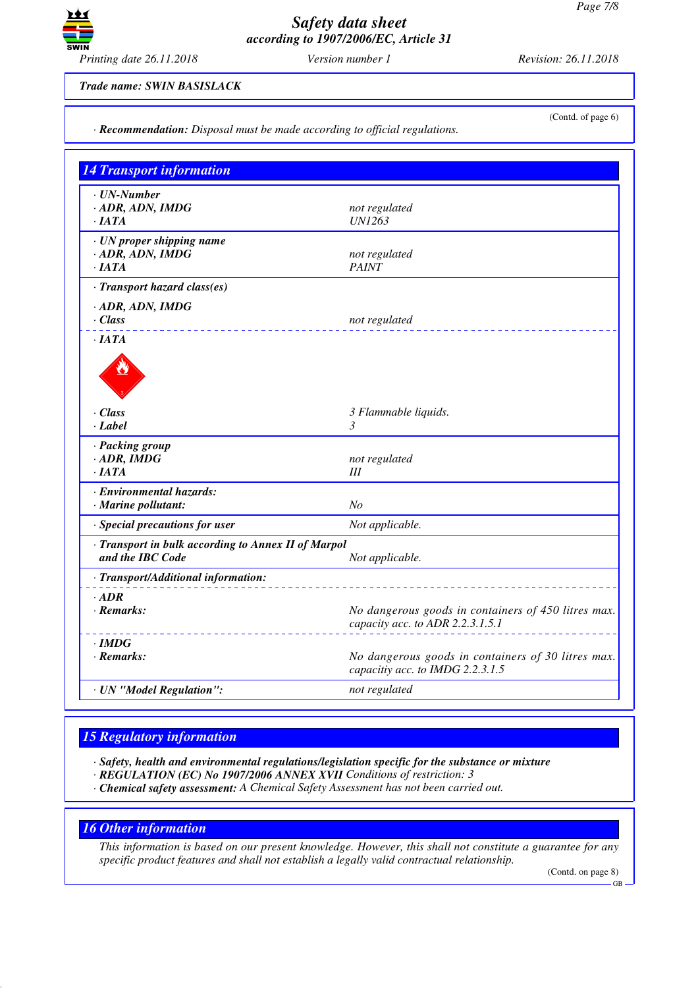

*· Recommendation: Disposal must be made according to official regulations.*

*Trade name: SWIN BASISLACK*

(Contd. of page 6)

| $\cdot$ UN-Number<br>$-$ ADR, ADN, IMDG<br>$\cdot$ JATA                 | not regulated<br><b>UN1263</b>                                                          |
|-------------------------------------------------------------------------|-----------------------------------------------------------------------------------------|
| · UN proper shipping name<br>$-$ ADR, ADN, IMDG<br>·IATA                | not regulated<br><b>PAINT</b>                                                           |
| · Transport hazard class(es)                                            |                                                                                         |
| $\cdot$ ADR, ADN, IMDG<br>$\cdot$ Class                                 | not regulated                                                                           |
| ·IATA<br>$\cdot$ Class<br>· Label                                       | 3 Flammable liquids.<br>3                                                               |
| · Packing group<br>$\cdot$ ADR, IMDG<br>$\cdot$ IATA                    | not regulated<br>Ш                                                                      |
| · Environmental hazards:<br>· Marine pollutant:                         | N <sub>o</sub>                                                                          |
| · Special precautions for user                                          | Not applicable.                                                                         |
| · Transport in bulk according to Annex II of Marpol<br>and the IBC Code | Not applicable.                                                                         |
| · Transport/Additional information:                                     |                                                                                         |
| $·$ <i>ADR</i><br>$\cdot$ Remarks:                                      | No dangerous goods in containers of 450 litres max.<br>capacity acc. to ADR 2.2.3.1.5.1 |
| $\cdot$ IMDG<br>$\cdot$ Remarks:                                        | No dangerous goods in containers of 30 litres max.<br>capacitiy acc. to IMDG 2.2.3.1.5  |
| · UN "Model Regulation":                                                | not regulated                                                                           |

#### *15 Regulatory information*

*· Safety, health and environmental regulations/legislation specific for the substance or mixture*

- *· REGULATION (EC) No 1907/2006 ANNEX XVII Conditions of restriction: 3*
- *· Chemical safety assessment: A Chemical Safety Assessment has not been carried out.*

# *16 Other information*

*This information is based on our present knowledge. However, this shall not constitute a guarantee for any specific product features and shall not establish a legally valid contractual relationship.*

(Contd. on page 8)

GB